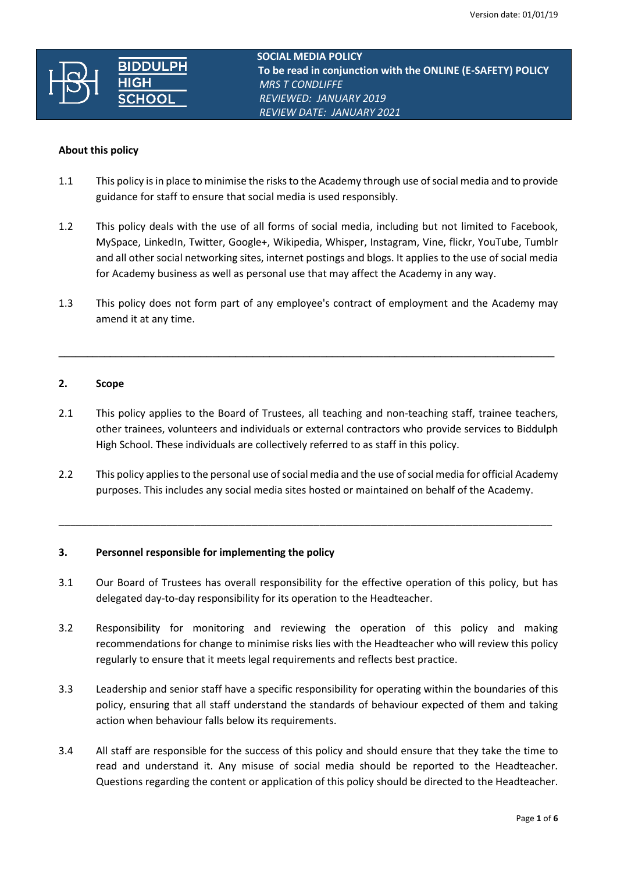

**SOCIAL MEDIA POLICY**<br> **RIDDI II DH To be read in conjunction with the ONLINE (E-SAFETY) POLICY**  *MRS T CONDLIFFE REVIEWED: JANUARY 2019 REVIEW DATE: JANUARY 2021*

### **About this policy**

- 1.1 This policy is in place to minimise the risks to the Academy through use of social media and to provide guidance for staff to ensure that social media is used responsibly.
- 1.2 This policy deals with the use of all forms of social media, including but not limited to Facebook, MySpace, LinkedIn, Twitter, Google+, Wikipedia, Whisper, Instagram, Vine, flickr, YouTube, Tumblr and all other social networking sites, internet postings and blogs. It applies to the use of social media for Academy business as well as personal use that may affect the Academy in any way.
- 1.3 This policy does not form part of any employee's contract of employment and the Academy may amend it at any time.

**\_\_\_\_\_\_\_\_\_\_\_\_\_\_\_\_\_\_\_\_\_\_\_\_\_\_\_\_\_\_\_\_\_\_\_\_\_\_\_\_\_\_\_\_\_\_\_\_\_\_\_\_\_\_\_\_\_\_\_\_\_\_\_\_\_\_\_\_\_\_\_\_\_\_\_\_\_\_\_\_\_\_\_\_\_\_\_**

# **2. Scope**

- 2.1 This policy applies to the Board of Trustees, all teaching and non-teaching staff, trainee teachers, other trainees, volunteers and individuals or external contractors who provide services to Biddulph High School. These individuals are collectively referred to as staff in this policy.
- 2.2 This policy applies to the personal use of social media and the use of social media for official Academy purposes. This includes any social media sites hosted or maintained on behalf of the Academy.

\_\_\_\_\_\_\_\_\_\_\_\_\_\_\_\_\_\_\_\_\_\_\_\_\_\_\_\_\_\_\_\_\_\_\_\_\_\_\_\_\_\_\_\_\_\_\_\_\_\_\_\_\_\_\_\_\_\_\_\_\_\_\_\_\_\_\_\_\_\_\_\_\_\_\_\_\_\_\_\_\_\_\_\_\_\_\_

# **3. Personnel responsible for implementing the policy**

- 3.1 Our Board of Trustees has overall responsibility for the effective operation of this policy, but has delegated day-to-day responsibility for its operation to the Headteacher.
- 3.2 Responsibility for monitoring and reviewing the operation of this policy and making recommendations for change to minimise risks lies with the Headteacher who will review this policy regularly to ensure that it meets legal requirements and reflects best practice.
- 3.3 Leadership and senior staff have a specific responsibility for operating within the boundaries of this policy, ensuring that all staff understand the standards of behaviour expected of them and taking action when behaviour falls below its requirements.
- 3.4 All staff are responsible for the success of this policy and should ensure that they take the time to read and understand it. Any misuse of social media should be reported to the Headteacher. Questions regarding the content or application of this policy should be directed to the Headteacher.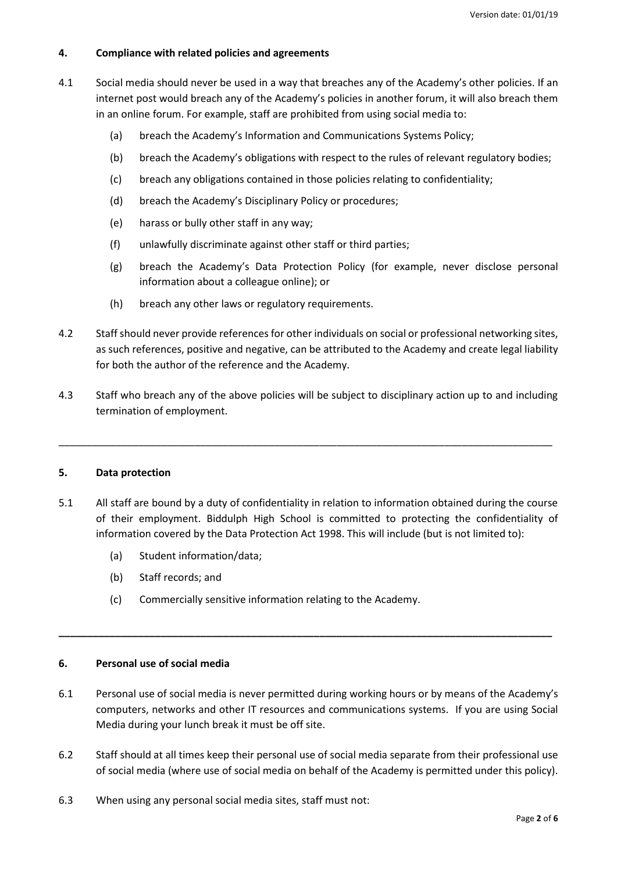## **4. Compliance with related policies and agreements**

- 4.1 Social media should never be used in a way that breaches any of the Academy's other policies. If an internet post would breach any of the Academy's policies in another forum, it will also breach them in an online forum. For example, staff are prohibited from using social media to:
	- (a) breach the Academy's Information and Communications Systems Policy;
	- (b) breach the Academy's obligations with respect to the rules of relevant regulatory bodies;
	- (c) breach any obligations contained in those policies relating to confidentiality;
	- (d) breach the Academy's Disciplinary Policy or procedures;
	- (e) harass or bully other staff in any way;
	- (f) unlawfully discriminate against other staff or third parties;
	- (g) breach the Academy's Data Protection Policy (for example, never disclose personal information about a colleague online); or
	- (h) breach any other laws or regulatory requirements.
- 4.2 Staff should never provide references for other individuals on social or professional networking sites, as such references, positive and negative, can be attributed to the Academy and create legal liability for both the author of the reference and the Academy.
- 4.3 Staff who breach any of the above policies will be subject to disciplinary action up to and including termination of employment.

\_\_\_\_\_\_\_\_\_\_\_\_\_\_\_\_\_\_\_\_\_\_\_\_\_\_\_\_\_\_\_\_\_\_\_\_\_\_\_\_\_\_\_\_\_\_\_\_\_\_\_\_\_\_\_\_\_\_\_\_\_\_\_\_\_\_\_\_\_\_\_\_\_\_\_\_\_\_\_\_\_\_\_\_\_\_\_

# **5. Data protection**

- 5.1 All staff are bound by a duty of confidentiality in relation to information obtained during the course of their employment. Biddulph High School is committed to protecting the confidentiality of information covered by the Data Protection Act 1998. This will include (but is not limited to):
	- (a) Student information/data;
	- (b) Staff records; and
	- (c) Commercially sensitive information relating to the Academy.

# **6. Personal use of social media**

6.1 Personal use of social media is never permitted during working hours or by means of the Academy's computers, networks and other IT resources and communications systems. If you are using Social Media during your lunch break it must be off site.

**\_\_\_\_\_\_\_\_\_\_\_\_\_\_\_\_\_\_\_\_\_\_\_\_\_\_\_\_\_\_\_\_\_\_\_\_\_\_\_\_\_\_\_\_\_\_\_\_\_\_\_\_\_\_\_\_\_\_\_\_\_\_\_\_\_\_\_\_\_\_\_\_\_\_\_\_\_\_\_\_\_\_\_\_\_\_\_**

- 6.2 Staff should at all times keep their personal use of social media separate from their professional use of social media (where use of social media on behalf of the Academy is permitted under this policy).
- 6.3 When using any personal social media sites, staff must not: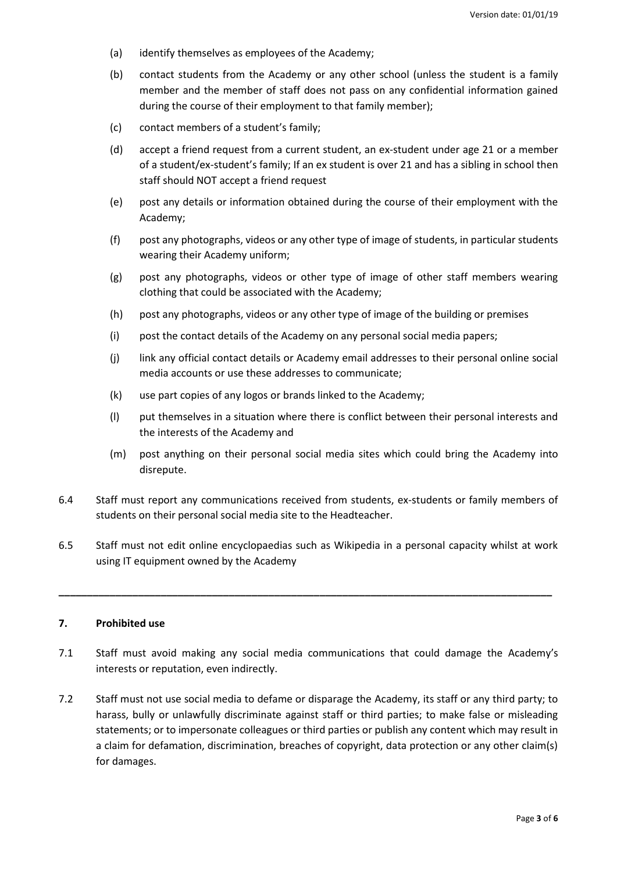- (a) identify themselves as employees of the Academy;
- (b) contact students from the Academy or any other school (unless the student is a family member and the member of staff does not pass on any confidential information gained during the course of their employment to that family member);
- (c) contact members of a student's family;
- (d) accept a friend request from a current student, an ex-student under age 21 or a member of a student/ex-student's family; If an ex student is over 21 and has a sibling in school then staff should NOT accept a friend request
- (e) post any details or information obtained during the course of their employment with the Academy;
- (f) post any photographs, videos or any other type of image of students, in particular students wearing their Academy uniform;
- (g) post any photographs, videos or other type of image of other staff members wearing clothing that could be associated with the Academy;
- (h) post any photographs, videos or any other type of image of the building or premises
- (i) post the contact details of the Academy on any personal social media papers;
- (j) link any official contact details or Academy email addresses to their personal online social media accounts or use these addresses to communicate;
- (k) use part copies of any logos or brands linked to the Academy;
- (l) put themselves in a situation where there is conflict between their personal interests and the interests of the Academy and
- (m) post anything on their personal social media sites which could bring the Academy into disrepute.
- 6.4 Staff must report any communications received from students, ex-students or family members of students on their personal social media site to the Headteacher.
- 6.5 Staff must not edit online encyclopaedias such as Wikipedia in a personal capacity whilst at work using IT equipment owned by the Academy

**\_\_\_\_\_\_\_\_\_\_\_\_\_\_\_\_\_\_\_\_\_\_\_\_\_\_\_\_\_\_\_\_\_\_\_\_\_\_\_\_\_\_\_\_\_\_\_\_\_\_\_\_\_\_\_\_\_\_\_\_\_\_\_\_\_\_\_\_\_\_\_\_\_\_\_\_\_\_\_\_\_\_\_\_\_\_\_**

## **7. Prohibited use**

- 7.1 Staff must avoid making any social media communications that could damage the Academy's interests or reputation, even indirectly.
- 7.2 Staff must not use social media to defame or disparage the Academy, its staff or any third party; to harass, bully or unlawfully discriminate against staff or third parties; to make false or misleading statements; or to impersonate colleagues or third parties or publish any content which may result in a claim for defamation, discrimination, breaches of copyright, data protection or any other claim(s) for damages.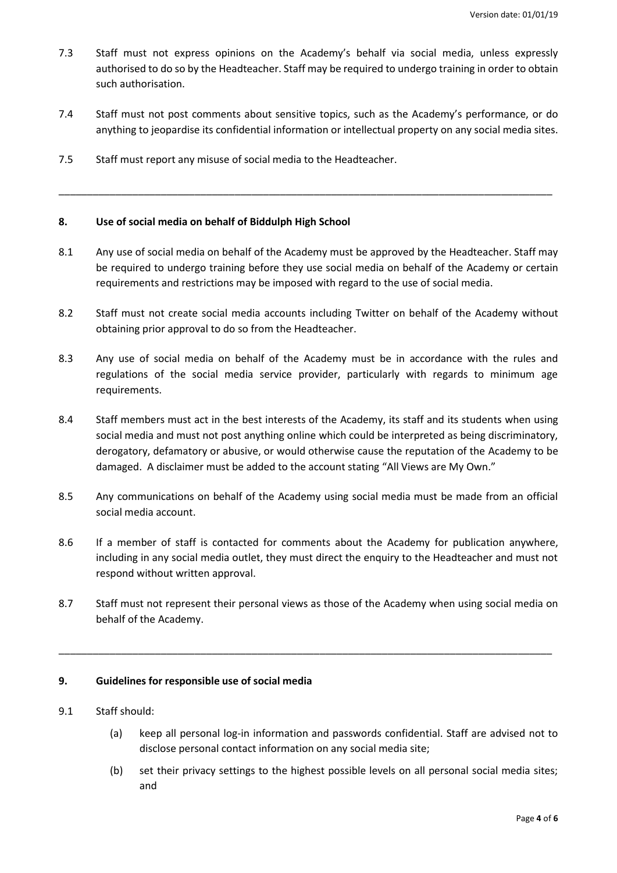- <span id="page-3-0"></span>7.3 Staff must not express opinions on the Academy's behalf via social media, unless expressly authorised to do so by the Headteacher. Staff may be required to undergo training in order to obtain such authorisation.
- 7.4 Staff must not post comments about sensitive topics, such as the Academy's performance, or do anything to jeopardise its confidential information or intellectual property on any social media sites.

\_\_\_\_\_\_\_\_\_\_\_\_\_\_\_\_\_\_\_\_\_\_\_\_\_\_\_\_\_\_\_\_\_\_\_\_\_\_\_\_\_\_\_\_\_\_\_\_\_\_\_\_\_\_\_\_\_\_\_\_\_\_\_\_\_\_\_\_\_\_\_\_\_\_\_\_\_\_\_\_\_\_\_\_\_\_\_

7.5 Staff must report any misuse of social media to the Headteacher.

# **8. Use of social media on behalf of Biddulph High School**

- 8.1 Any use of social media on behalf of the Academy must be approved by the Headteacher. Staff may be required to undergo training before they use social media on behalf of the Academy or certain requirements and restrictions may be imposed with regard to the use of social media.
- 8.2 Staff must not create social media accounts including Twitter on behalf of the Academy without obtaining prior approval to do so from the Headteacher.
- 8.3 Any use of social media on behalf of the Academy must be in accordance with the rules and regulations of the social media service provider, particularly with regards to minimum age requirements.
- 8.4 Staff members must act in the best interests of the Academy, its staff and its students when using social media and must not post anything online which could be interpreted as being discriminatory, derogatory, defamatory or abusive, or would otherwise cause the reputation of the Academy to be damaged. A disclaimer must be added to the account stating "All Views are My Own."
- 8.5 Any communications on behalf of the Academy using social media must be made from an official social media account.
- 8.6 If a member of staff is contacted for comments about the Academy for publication anywhere, including in any social media outlet, they must direct the enquiry to the Headteacher and must not respond without written approval.
- 8.7 Staff must not represent their personal views as those of the Academy when using social media on behalf of the Academy.

\_\_\_\_\_\_\_\_\_\_\_\_\_\_\_\_\_\_\_\_\_\_\_\_\_\_\_\_\_\_\_\_\_\_\_\_\_\_\_\_\_\_\_\_\_\_\_\_\_\_\_\_\_\_\_\_\_\_\_\_\_\_\_\_\_\_\_\_\_\_\_\_\_\_\_\_\_\_\_\_\_\_\_\_\_\_\_

#### **9. Guidelines for responsible use of social media**

- 9.1 Staff should:
	- (a) keep all personal log-in information and passwords confidential. Staff are advised not to disclose personal contact information on any social media site;
	- (b) set their privacy settings to the highest possible levels on all personal social media sites; and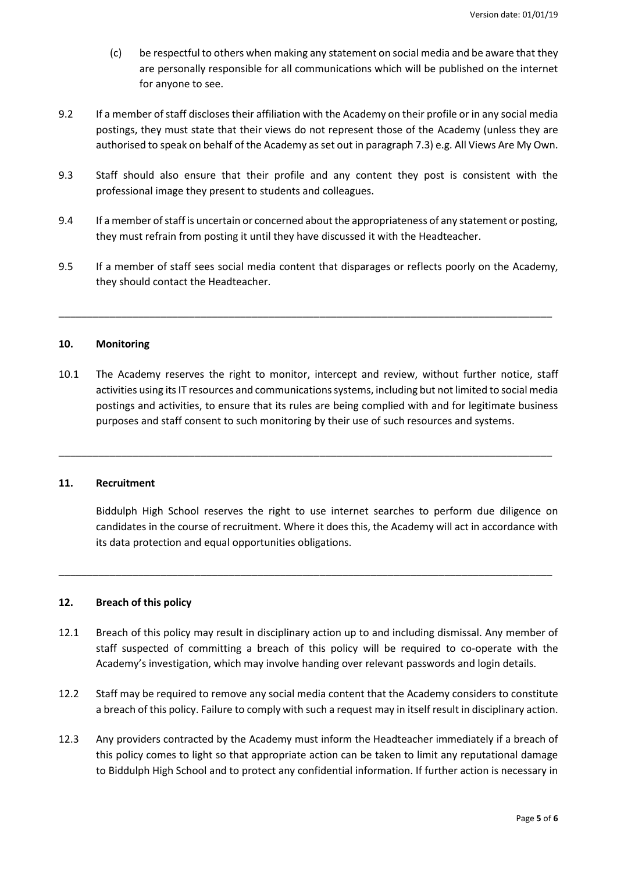- (c) be respectful to others when making any statement on social media and be aware that they are personally responsible for all communications which will be published on the internet for anyone to see.
- 9.2 If a member of staff discloses their affiliation with the Academy on their profile or in any social media postings, they must state that their views do not represent those of the Academy (unless they are authorised to speak on behalf of the Academy as set out in paragrap[h 7.3\)](#page-3-0) e.g. All Views Are My Own.
- 9.3 Staff should also ensure that their profile and any content they post is consistent with the professional image they present to students and colleagues.
- 9.4 If a member of staff is uncertain or concerned about the appropriateness of any statement or posting, they must refrain from posting it until they have discussed it with the Headteacher.
- 9.5 If a member of staff sees social media content that disparages or reflects poorly on the Academy, they should contact the Headteacher.

\_\_\_\_\_\_\_\_\_\_\_\_\_\_\_\_\_\_\_\_\_\_\_\_\_\_\_\_\_\_\_\_\_\_\_\_\_\_\_\_\_\_\_\_\_\_\_\_\_\_\_\_\_\_\_\_\_\_\_\_\_\_\_\_\_\_\_\_\_\_\_\_\_\_\_\_\_\_\_\_\_\_\_\_\_\_\_

### **10. Monitoring**

10.1 The Academy reserves the right to monitor, intercept and review, without further notice, staff activities using its IT resources and communications systems, including but not limited to social media postings and activities, to ensure that its rules are being complied with and for legitimate business purposes and staff consent to such monitoring by their use of such resources and systems.

\_\_\_\_\_\_\_\_\_\_\_\_\_\_\_\_\_\_\_\_\_\_\_\_\_\_\_\_\_\_\_\_\_\_\_\_\_\_\_\_\_\_\_\_\_\_\_\_\_\_\_\_\_\_\_\_\_\_\_\_\_\_\_\_\_\_\_\_\_\_\_\_\_\_\_\_\_\_\_\_\_\_\_\_\_\_\_

#### **11. Recruitment**

Biddulph High School reserves the right to use internet searches to perform due diligence on candidates in the course of recruitment. Where it does this, the Academy will act in accordance with its data protection and equal opportunities obligations.

### **12. Breach of this policy**

12.1 Breach of this policy may result in disciplinary action up to and including dismissal. Any member of staff suspected of committing a breach of this policy will be required to co-operate with the Academy's investigation, which may involve handing over relevant passwords and login details.

\_\_\_\_\_\_\_\_\_\_\_\_\_\_\_\_\_\_\_\_\_\_\_\_\_\_\_\_\_\_\_\_\_\_\_\_\_\_\_\_\_\_\_\_\_\_\_\_\_\_\_\_\_\_\_\_\_\_\_\_\_\_\_\_\_\_\_\_\_\_\_\_\_\_\_\_\_\_\_\_\_\_\_\_\_\_\_

- 12.2 Staff may be required to remove any social media content that the Academy considers to constitute a breach of this policy. Failure to comply with such a request may in itself result in disciplinary action.
- 12.3 Any providers contracted by the Academy must inform the Headteacher immediately if a breach of this policy comes to light so that appropriate action can be taken to limit any reputational damage to Biddulph High School and to protect any confidential information. If further action is necessary in